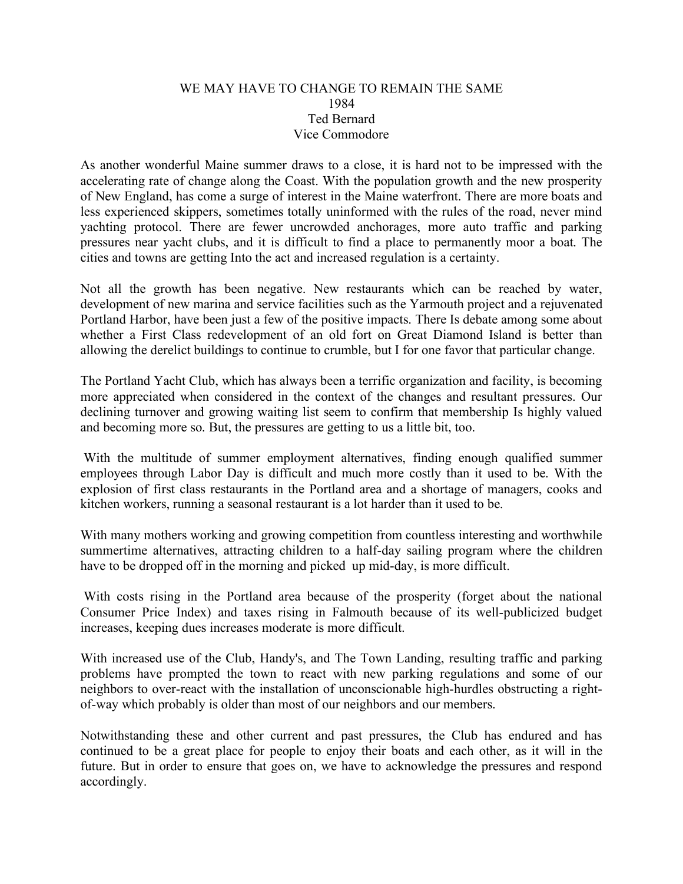## WE MAY HAVE TO CHANGE TO REMAIN THE SAME 1984 Ted Bernard Vice Commodore

As another wonderful Maine summer draws to a close, it is hard not to be impressed with the accelerating rate of change along the Coast. With the population growth and the new prosperity of New England, has come a surge of interest in the Maine waterfront. There are more boats and less experienced skippers, sometimes totally uninformed with the rules of the road, never mind yachting protocol. There are fewer uncrowded anchorages, more auto traffic and parking pressures near yacht clubs, and it is difficult to find a place to permanently moor a boat. The cities and towns are getting Into the act and increased regulation is a certainty.

Not all the growth has been negative. New restaurants which can be reached by water, development of new marina and service facilities such as the Yarmouth project and a rejuvenated Portland Harbor, have been just a few of the positive impacts. There Is debate among some about whether a First Class redevelopment of an old fort on Great Diamond Island is better than allowing the derelict buildings to continue to crumble, but I for one favor that particular change.

The Portland Yacht Club, which has always been a terrific organization and facility, is becoming more appreciated when considered in the context of the changes and resultant pressures. Our declining turnover and growing waiting list seem to confirm that membership Is highly valued and becoming more so. But, the pressures are getting to us a little bit, too.

With the multitude of summer employment alternatives, finding enough qualified summer employees through Labor Day is difficult and much more costly than it used to be. With the explosion of first class restaurants in the Portland area and a shortage of managers, cooks and kitchen workers, running a seasonal restaurant is a lot harder than it used to be.

With many mothers working and growing competition from countless interesting and worthwhile summertime alternatives, attracting children to a half-day sailing program where the children have to be dropped off in the morning and picked up mid-day, is more difficult.

 With costs rising in the Portland area because of the prosperity (forget about the national Consumer Price Index) and taxes rising in Falmouth because of its well-publicized budget increases, keeping dues increases moderate is more difficult.

With increased use of the Club, Handy's, and The Town Landing, resulting traffic and parking problems have prompted the town to react with new parking regulations and some of our neighbors to over-react with the installation of unconscionable high-hurdles obstructing a rightof-way which probably is older than most of our neighbors and our members.

Notwithstanding these and other current and past pressures, the Club has endured and has continued to be a great place for people to enjoy their boats and each other, as it will in the future. But in order to ensure that goes on, we have to acknowledge the pressures and respond accordingly.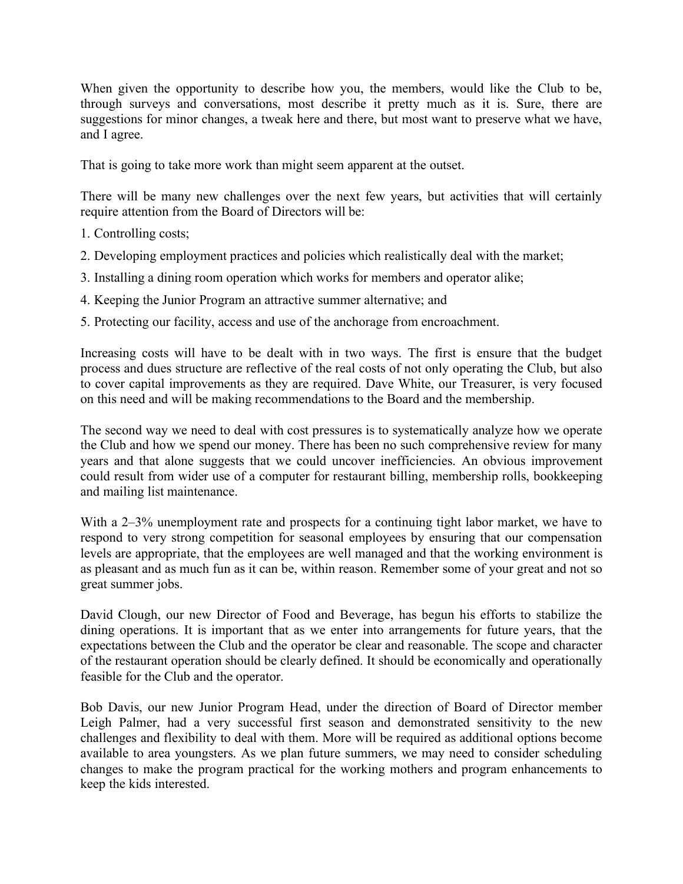When given the opportunity to describe how you, the members, would like the Club to be, through surveys and conversations, most describe it pretty much as it is. Sure, there are suggestions for minor changes, a tweak here and there, but most want to preserve what we have, and I agree.

That is going to take more work than might seem apparent at the outset.

There will be many new challenges over the next few years, but activities that will certainly require attention from the Board of Directors will be:

- 1. Controlling costs;
- 2. Developing employment practices and policies which realistically deal with the market;
- 3. Installing a dining room operation which works for members and operator alike;
- 4. Keeping the Junior Program an attractive summer alternative; and
- 5. Protecting our facility, access and use of the anchorage from encroachment.

Increasing costs will have to be dealt with in two ways. The first is ensure that the budget process and dues structure are reflective of the real costs of not only operating the Club, but also to cover capital improvements as they are required. Dave White, our Treasurer, is very focused on this need and will be making recommendations to the Board and the membership.

The second way we need to deal with cost pressures is to systematically analyze how we operate the Club and how we spend our money. There has been no such comprehensive review for many years and that alone suggests that we could uncover inefficiencies. An obvious improvement could result from wider use of a computer for restaurant billing, membership rolls, bookkeeping and mailing list maintenance.

With a 2–3% unemployment rate and prospects for a continuing tight labor market, we have to respond to very strong competition for seasonal employees by ensuring that our compensation levels are appropriate, that the employees are well managed and that the working environment is as pleasant and as much fun as it can be, within reason. Remember some of your great and not so great summer jobs.

David Clough, our new Director of Food and Beverage, has begun his efforts to stabilize the dining operations. It is important that as we enter into arrangements for future years, that the expectations between the Club and the operator be clear and reasonable. The scope and character of the restaurant operation should be clearly defined. It should be economically and operationally feasible for the Club and the operator.

Bob Davis, our new Junior Program Head, under the direction of Board of Director member Leigh Palmer, had a very successful first season and demonstrated sensitivity to the new challenges and flexibility to deal with them. More will be required as additional options become available to area youngsters. As we plan future summers, we may need to consider scheduling changes to make the program practical for the working mothers and program enhancements to keep the kids interested.